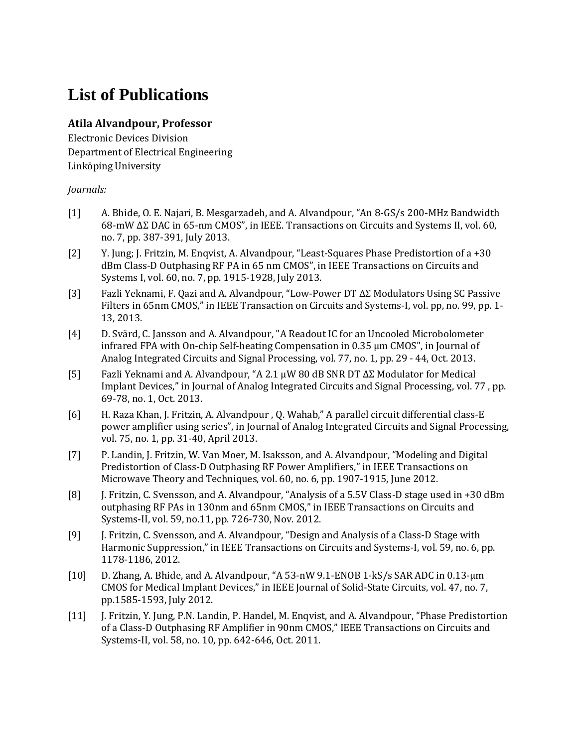## **List of Publications**

## **Atila Alvandpour, Professor**

Electronic Devices Division Department of Electrical Engineering Linköping University

## *Journals:*

- [1] A. Bhide, O. E. Najari, B. Mesgarzadeh, and A. Alvandpour, "An 8-GS/s 200-MHz Bandwidth 68-mW ∆Σ DAC in 65-nm CMOS", in IEEE. Transactions on Circuits and Systems II, vol. 60, no. 7, pp. 387-391, July 2013.
- [2] Y. Jung; J. Fritzin, M. Enqvist, A. Alvandpour, "Least-Squares Phase Predistortion of a +30 dBm Class-D Outphasing RF PA in 65 nm CMOS", in IEEE Transactions on Circuits and Systems I, vol. 60, no. 7, pp. 1915-1928, July 2013.
- [3] Fazli Yeknami, F. Qazi and A. Alvandpour, "Low-Power DT ΔΣ Modulators Using SC Passive Filters in 65nm CMOS," in IEEE Transaction on Circuits and Systems-I, vol. pp, no. 99, pp. 1- 13, 2013.
- [4] D. Svärd, C. Jansson and A. Alvandpour, "A Readout IC for an Uncooled Microbolometer infrared FPA with On-chip Self-heating Compensation in 0.35 μm CMOS", in Journal of Analog Integrated Circuits and Signal Processing, vol. 77, no. 1, pp. 29 - 44, Oct. 2013.
- [5] Fazli Yeknami and A. Alvandpour, "A 2.1 µW 80 dB SNR DT ΔΣ Modulator for Medical Implant Devices," in Journal of Analog Integrated Circuits and Signal Processing, vol. 77 , pp. 69-78, no. 1, Oct. 2013.
- [6] H. Raza Khan, J. Fritzin, A. Alvandpour , Q. Wahab," A parallel circuit differential class-E power amplifier using series", in Journal of Analog Integrated Circuits and Signal Processing, vol. 75, no. 1, pp. 31-40, April 2013.
- [7] P. Landin, J. Fritzin, W. Van Moer, M. Isaksson, and A. Alvandpour, "Modeling and Digital Predistortion of Class-D Outphasing RF Power Amplifiers," in IEEE Transactions on Microwave Theory and Techniques, vol. 60, no. 6, pp. 1907-1915, June 2012.
- [8] J. Fritzin, C. Svensson, and A. Alvandpour, "Analysis of a 5.5V Class-D stage used in +30 dBm outphasing RF PAs in 130nm and 65nm CMOS," in IEEE Transactions on Circuits and Systems-II, vol. 59, no.11, pp. 726-730, Nov. 2012.
- [9] J. Fritzin, C. Svensson, and A. Alvandpour, "Design and Analysis of a Class-D Stage with Harmonic Suppression," in IEEE Transactions on Circuits and Systems-I, vol. 59, no. 6, pp. 1178-1186, 2012.
- [10] D. Zhang, A. Bhide, and A. Alvandpour, "A 53-nW 9.1-ENOB 1-kS/s SAR ADC in 0.13-μm CMOS for Medical Implant Devices," in IEEE Journal of Solid-State Circuits, vol. 47, no. 7, pp.1585-1593, July 2012.
- [11] J. Fritzin, Y. Jung, P.N. Landin, P. Handel, M. Enqvist, and A. Alvandpour, "Phase Predistortion of a Class-D Outphasing RF Amplifier in 90nm CMOS," IEEE Transactions on Circuits and Systems-II, vol. 58, no. 10, pp. 642-646, Oct. 2011.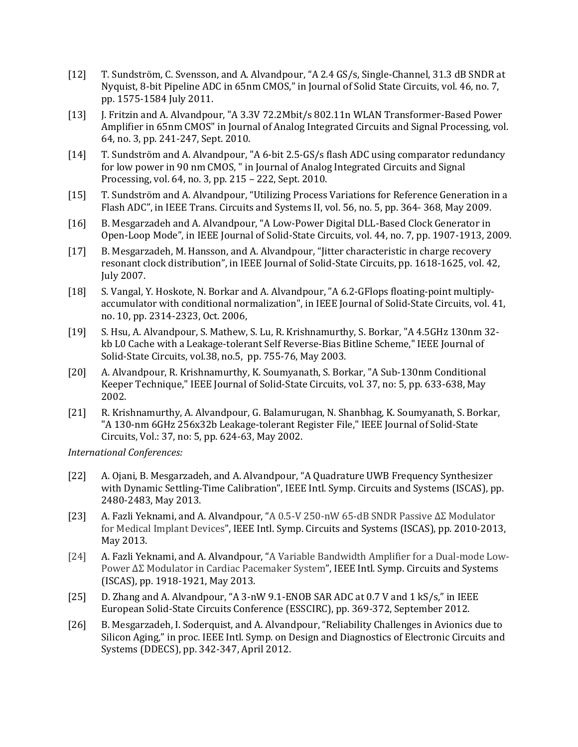- [12] T. Sundström, C. Svensson, and A. Alvandpour, "A 2.4 GS/s, Single-Channel, 31.3 dB SNDR at Nyquist, 8-bit Pipeline ADC in 65nm CMOS," in Journal of Solid State Circuits, vol. 46, no. 7, pp. 1575-1584 July 2011.
- [13] J. Fritzin and A. Alvandpour, "A 3.3V 72.2Mbit/s 802.11n WLAN Transformer-Based Power Amplifier in 65nm CMOS" in Journal of Analog Integrated Circuits and Signal Processing, vol. 64, no. 3, pp. 241-247, Sept. 2010.
- [14] T. Sundström and A. Alvandpour, "A 6-bit 2.5-GS/s flash ADC using comparator redundancy for low power in 90 nm CMOS, " in Journal of Analog Integrated Circuits and Signal Processing, vol. 64, no. 3, pp. 215 – 222, Sept. 2010.
- [15] T. Sundström and A. Alvandpour, "Utilizing Process Variations for Reference Generation in a Flash ADC", in IEEE Trans. Circuits and Systems II, vol. 56, no. 5, pp. 364- 368, May 2009.
- [16] B. Mesgarzadeh and A. Alvandpour, "A Low-Power Digital DLL-Based Clock Generator in Open-Loop Mode", in IEEE Journal of Solid-State Circuits, vol. 44, no. 7, pp. 1907-1913, 2009.
- [17] B. Mesgarzadeh, M. Hansson, and A. Alvandpour, "Jitter characteristic in charge recovery resonant clock distribution", in IEEE Journal of Solid-State Circuits, pp. 1618-1625, vol. 42, July 2007.
- [18] S. Vangal, Y. Hoskote, N. Borkar and A. Alvandpour, "A 6.2-GFlops floating-point multiplyaccumulator with conditional normalization", in IEEE Journal of Solid-State Circuits, vol. 41, no. 10, pp. 2314-2323, Oct. 2006,
- [19] S. Hsu, A. Alvandpour, S. Mathew, S. Lu, R. Krishnamurthy, S. Borkar, "A 4.5GHz 130nm 32 kb L0 Cache with a Leakage-tolerant Self Reverse-Bias Bitline Scheme," IEEE Journal of Solid-State Circuits, vol.38, no.5, pp. 755-76, May 2003.
- [20] A. Alvandpour, R. Krishnamurthy, K. Soumyanath, S. Borkar, "A Sub-130nm Conditional Keeper Technique," IEEE Journal of Solid-State Circuits, vol. 37, no: 5, pp. 633-638, May 2002.
- [21] R. Krishnamurthy, A. Alvandpour, G. Balamurugan, N. Shanbhag, K. Soumyanath, S. Borkar, "A 130-nm 6GHz 256x32b Leakage-tolerant Register File," IEEE Journal of Solid-State Circuits, Vol.: 37, no: 5, pp. 624-63, May 2002.

*International Conferences:*

- [22] A. Ojani, B. Mesgarzadeh, and A. Alvandpour, "A Quadrature UWB Frequency Synthesizer with Dynamic Settling-Time Calibration", IEEE Intl. Symp. Circuits and Systems (ISCAS), pp. 2480-2483, May 2013.
- [23] A. Fazli Yeknami, and A. Alvandpour, "A 0.5-V 250-nW 65-dB SNDR Passive ΔΣ Modulator for Medical Implant Devices", IEEE Intl. Symp. Circuits and Systems (ISCAS), pp. 2010-2013, May 2013.
- [24] A. Fazli Yeknami, and A. Alvandpour, "A Variable Bandwidth Amplifier for a Dual-mode Low-Power ΔΣ Modulator in Cardiac Pacemaker System", IEEE Intl. Symp. Circuits and Systems (ISCAS), pp. 1918-1921, May 2013.
- [25] D. Zhang and A. Alvandpour, "A 3-nW 9.1-ENOB SAR ADC at 0.7 V and 1 kS/s," in IEEE European Solid-State Circuits Conference (ESSCIRC), pp. 369-372, September 2012.
- [26] B. Mesgarzadeh, I. Soderquist, and A. Alvandpour, "Reliability Challenges in Avionics due to Silicon Aging," in proc. IEEE Intl. Symp. on Design and Diagnostics of Electronic Circuits and Systems (DDECS), pp. 342-347, April 2012.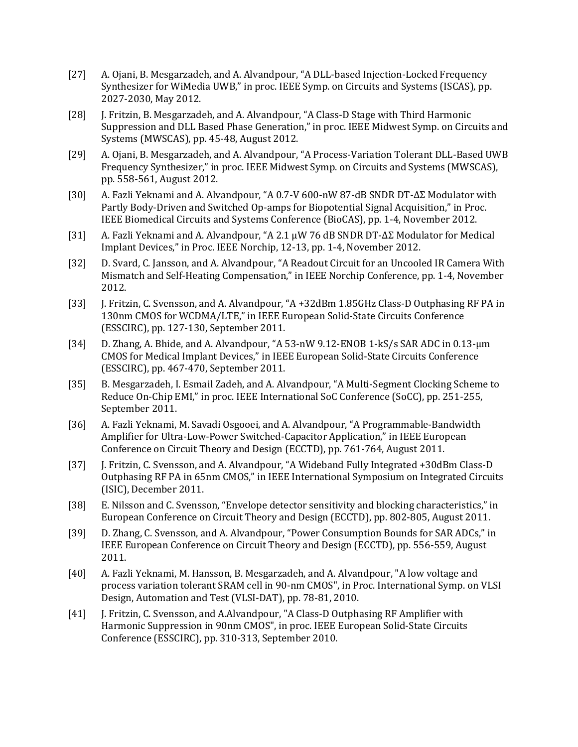- [27] A. Ojani, B. Mesgarzadeh, and A. Alvandpour, "A DLL-based Injection-Locked Frequency Synthesizer for WiMedia UWB," in proc. IEEE Symp. on Circuits and Systems (ISCAS), pp. 2027-2030, May 2012.
- [28] J. Fritzin, B. Mesgarzadeh, and A. Alvandpour, "A Class-D Stage with Third Harmonic Suppression and DLL Based Phase Generation," in proc. IEEE Midwest Symp. on Circuits and Systems (MWSCAS), pp. 45-48, August 2012.
- [29] A. Ojani, B. Mesgarzadeh, and A. Alvandpour, "A Process-Variation Tolerant DLL-Based UWB Frequency Synthesizer," in proc. IEEE Midwest Symp. on Circuits and Systems (MWSCAS), pp. 558-561, August 2012.
- [30] A. Fazli Yeknami and A. Alvandpour, "A 0.7-V 600-nW 87-dB SNDR DT-ΔΣ Modulator with Partly Body-Driven and Switched Op-amps for Biopotential Signal Acquisition," in Proc. IEEE Biomedical Circuits and Systems Conference (BioCAS), pp. 1-4, November 2012.
- [31] A. Fazli Yeknami and A. Alvandpour, "A 2.1 μW 76 dB SNDR DT-ΔΣ Modulator for Medical Implant Devices," in Proc. IEEE Norchip, 12-13, pp. 1-4, November 2012.
- [32] D. Svard, C. Jansson, and A. Alvandpour, "A Readout Circuit for an Uncooled IR Camera With Mismatch and Self-Heating Compensation," in IEEE Norchip Conference, pp. 1-4, November 2012.
- [33] J. Fritzin, C. Svensson, and A. Alvandpour, "A +32dBm 1.85GHz Class-D Outphasing RF PA in 130nm CMOS for WCDMA/LTE," in IEEE European Solid-State Circuits Conference (ESSCIRC), pp. 127-130, September 2011.
- [34] D. Zhang, A. Bhide, and A. Alvandpour, "A 53-nW 9.12-ENOB 1-kS/s SAR ADC in 0.13-μm CMOS for Medical Implant Devices," in IEEE European Solid-State Circuits Conference (ESSCIRC), pp. 467-470, September 2011.
- [35] B. Mesgarzadeh, I. Esmail Zadeh, and A. Alvandpour, "A Multi-Segment Clocking Scheme to Reduce On-Chip EMI," in proc. IEEE International SoC Conference (SoCC), pp. 251-255, September 2011.
- [36] A. Fazli Yeknami, M. Savadi Osgooei, and A. Alvandpour, "A Programmable-Bandwidth Amplifier for Ultra-Low-Power Switched-Capacitor Application," in IEEE European Conference on Circuit Theory and Design (ECCTD), pp. 761-764, August 2011.
- [37] J. Fritzin, C. Svensson, and A. Alvandpour, "A Wideband Fully Integrated +30dBm Class-D Outphasing RF PA in 65nm CMOS," in IEEE International Symposium on Integrated Circuits (ISIC), December 2011.
- [38] E. Nilsson and C. Svensson, "Envelope detector sensitivity and blocking characteristics," in European Conference on Circuit Theory and Design (ECCTD), pp. 802-805, August 2011.
- [39] D. Zhang, C. Svensson, and A. Alvandpour, "Power Consumption Bounds for SAR ADCs," in IEEE European Conference on Circuit Theory and Design (ECCTD), pp. 556-559, August 2011.
- [40] A. Fazli Yeknami, M. Hansson, B. Mesgarzadeh, and A. Alvandpour, "A low voltage and process variation tolerant SRAM cell in 90-nm CMOS", in Proc. International Symp. on VLSI Design, Automation and Test (VLSI-DAT), pp. 78-81, 2010.
- [41] J. Fritzin, C. Svensson, and A.Alvandpour, "A Class-D Outphasing RF Amplifier with Harmonic Suppression in 90nm CMOS", in proc. IEEE European Solid-State Circuits Conference (ESSCIRC), pp. 310-313, September 2010.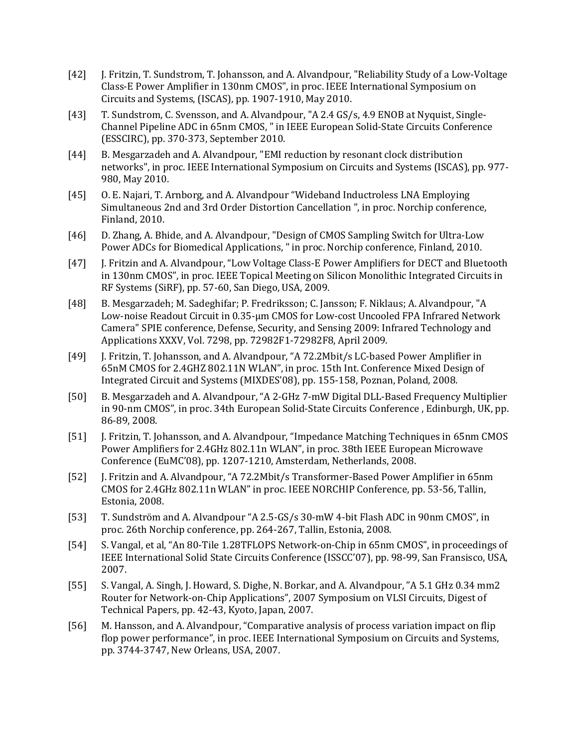- [42] J. Fritzin, T. Sundstrom, T. Johansson, and A. Alvandpour, "Reliability Study of a Low-Voltage Class-E Power Amplifier in 130nm CMOS", in proc. IEEE International Symposium on Circuits and Systems, (ISCAS), pp. 1907-1910, May 2010.
- [43] T. Sundstrom, C. Svensson, and A. Alvandpour, "A 2.4 GS/s, 4.9 ENOB at Nyquist, Single-Channel Pipeline ADC in 65nm CMOS, " in IEEE European Solid-State Circuits Conference (ESSCIRC), pp. 370-373, September 2010.
- [44] B. Mesgarzadeh and A. Alvandpour, "EMI reduction by resonant clock distribution networks", in proc. IEEE International Symposium on Circuits and Systems (ISCAS), pp. 977- 980, May 2010.
- [45] O. E. Najari, T. Arnborg, and A. Alvandpour "Wideband Inductroless LNA Employing Simultaneous 2nd and 3rd Order Distortion Cancellation ", in proc. Norchip conference, Finland, 2010.
- [46] D. Zhang, A. Bhide, and A. Alvandpour, "Design of CMOS Sampling Switch for Ultra-Low Power ADCs for Biomedical Applications, " in proc. Norchip conference, Finland, 2010.
- [47] J. Fritzin and A. Alvandpour, "Low Voltage Class-E Power Amplifiers for DECT and Bluetooth in 130nm CMOS", in proc. IEEE Topical Meeting on Silicon Monolithic Integrated Circuits in RF Systems (SiRF), pp. 57-60, San Diego, USA, 2009.
- [48] B. Mesgarzadeh; M. Sadeghifar; P. Fredriksson; C. Jansson; F. Niklaus; A. Alvandpour, "A Low-noise Readout Circuit in 0.35-µm CMOS for Low-cost Uncooled FPA Infrared Network Camera" SPIE conference, Defense, Security, and Sensing 2009: Infrared Technology and Applications XXXV, Vol. 7298, pp. 72982F1-72982F8, April 2009.
- [49] J. Fritzin, T. Johansson, and A. Alvandpour, "A 72.2Mbit/s LC-based Power Amplifier in 65nM CMOS for 2.4GHZ 802.11N WLAN", in proc. 15th Int. Conference Mixed Design of Integrated Circuit and Systems (MIXDES'08), pp. 155-158, Poznan, Poland, 2008.
- [50] B. Mesgarzadeh and A. Alvandpour, "A 2-GHz 7-mW Digital DLL-Based Frequency Multiplier in 90-nm CMOS", in proc. 34th European Solid-State Circuits Conference , Edinburgh, UK, pp. 86-89, 2008.
- [51] J. Fritzin, T. Johansson, and A. Alvandpour, "Impedance Matching Techniques in 65nm CMOS Power Amplifiers for 2.4GHz 802.11n WLAN", in proc. 38th IEEE European Microwave Conference (EuMC'08), pp. 1207-1210, Amsterdam, Netherlands, 2008.
- [52] J. Fritzin and A. Alvandpour, "A 72.2Mbit/s Transformer-Based Power Amplifier in 65nm CMOS for 2.4GHz 802.11n WLAN" in proc. IEEE NORCHIP Conference, pp. 53-56, Tallin, Estonia, 2008.
- [53] T. Sundström and A. Alvandpour "A 2.5-GS/s 30-mW 4-bit Flash ADC in 90nm CMOS", in proc. 26th Norchip conference, pp. 264-267, Tallin, Estonia, 2008.
- [54] S. Vangal, et al, "An 80-Tile 1.28TFLOPS Network-on-Chip in 65nm CMOS", in proceedings of IEEE International Solid State Circuits Conference (ISSCC'07), pp. 98-99, San Fransisco, USA, 2007.
- [55] S. Vangal, A. Singh, J. Howard, S. Dighe, N. Borkar, and A. Alvandpour, "A 5.1 GHz 0.34 mm2 Router for Network-on-Chip Applications", 2007 Symposium on VLSI Circuits, Digest of Technical Papers, pp. 42-43, Kyoto, Japan, 2007.
- [56] M. Hansson, and A. Alvandpour, "Comparative analysis of process variation impact on flip flop power performance", in proc. IEEE International Symposium on Circuits and Systems, pp. 3744-3747, New Orleans, USA, 2007.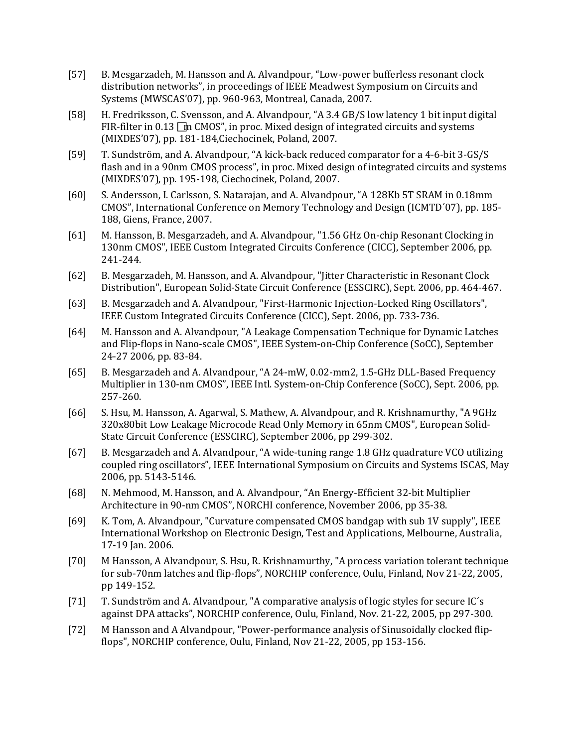- [57] B. Mesgarzadeh, M. Hansson and A. Alvandpour, "Low-power bufferless resonant clock distribution networks", in proceedings of IEEE Meadwest Symposium on Circuits and Systems (MWSCAS'07), pp. 960-963, Montreal, Canada, 2007.
- [58] H. Fredriksson, C. Svensson, and A. Alvandpour, "A 3.4 GB/S low latency 1 bit input digital FIR-filter in 0.13  $\Box$ m CMOS", in proc. Mixed design of integrated circuits and systems (MIXDES'07), pp. 181-184,Ciechocinek, Poland, 2007.
- [59] T. Sundström, and A. Alvandpour, "A kick-back reduced comparator for a 4-6-bit 3-GS/S flash and in a 90nm CMOS process", in proc. Mixed design of integrated circuits and systems (MIXDES'07), pp. 195-198, Ciechocinek, Poland, 2007.
- [60] S. Andersson, I. Carlsson, S. Natarajan, and A. Alvandpour, "A 128Kb 5T SRAM in 0.18mm CMOS", International Conference on Memory Technology and Design (ICMTD´07), pp. 185- 188, Giens, France, 2007.
- [61] M. Hansson, B. Mesgarzadeh, and A. Alvandpour, "1.56 GHz On-chip Resonant Clocking in 130nm CMOS", IEEE Custom Integrated Circuits Conference (CICC), September 2006, pp. 241-244.
- [62] B. Mesgarzadeh, M. Hansson, and A. Alvandpour, "Jitter Characteristic in Resonant Clock Distribution", European Solid-State Circuit Conference (ESSCIRC), Sept. 2006, pp. 464-467.
- [63] B. Mesgarzadeh and A. Alvandpour, "First-Harmonic Injection-Locked Ring Oscillators", IEEE Custom Integrated Circuits Conference (CICC), Sept. 2006, pp. 733-736.
- [64] M. Hansson and A. Alvandpour, "A Leakage Compensation Technique for Dynamic Latches and Flip-flops in Nano-scale CMOS", IEEE System-on-Chip Conference (SoCC), September 24-27 2006, pp. 83-84.
- [65] B. Mesgarzadeh and A. Alvandpour, "A 24-mW, 0.02-mm2, 1.5-GHz DLL-Based Frequency Multiplier in 130-nm CMOS", IEEE Intl. System-on-Chip Conference (SoCC), Sept. 2006, pp. 257-260.
- [66] S. Hsu, M. Hansson, A. Agarwal, S. Mathew, A. Alvandpour, and R. Krishnamurthy, "A 9GHz 320x80bit Low Leakage Microcode Read Only Memory in 65nm CMOS", European Solid-State Circuit Conference (ESSCIRC), September 2006, pp 299-302.
- [67] B. Mesgarzadeh and A. Alvandpour, "A wide-tuning range 1.8 GHz quadrature VCO utilizing coupled ring oscillators", IEEE International Symposium on Circuits and Systems ISCAS, May 2006, pp. 5143-5146.
- [68] N. Mehmood, M. Hansson, and A. Alvandpour, "An Energy-Efficient 32-bit Multiplier Architecture in 90-nm CMOS", NORCHI conference, November 2006, pp 35-38.
- [69] K. Tom, A. Alvandpour, "Curvature compensated CMOS bandgap with sub 1V supply", IEEE International Workshop on Electronic Design, Test and Applications, Melbourne, Australia, 17-19 Jan. 2006.
- [70] M Hansson, A Alvandpour, S. Hsu, R. Krishnamurthy, "A process variation tolerant technique for sub-70nm latches and flip-flops", NORCHIP conference, Oulu, Finland, Nov 21-22, 2005, pp 149-152.
- [71] T. Sundström and A. Alvandpour, "A comparative analysis of logic styles for secure IC's against DPA attacks", NORCHIP conference, Oulu, Finland, Nov. 21-22, 2005, pp 297-300.
- [72] M Hansson and A Alvandpour, "Power-performance analysis of Sinusoidally clocked flipflops", NORCHIP conference, Oulu, Finland, Nov 21-22, 2005, pp 153-156.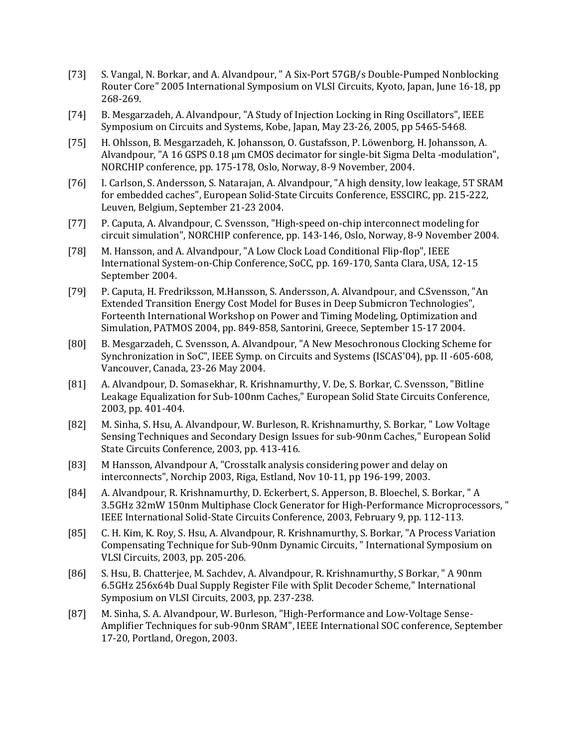- [73] S. Vangal, N. Borkar, and A. Alvandpour, " A Six-Port 57GB/s Double-Pumped Nonblocking Router Core" 2005 International Symposium on VLSI Circuits, Kyoto, Japan, June 16-18, pp 268-269.
- [74] B. Mesgarzadeh, A. Alvandpour, "A Study of Injection Locking in Ring Oscillators", IEEE Symposium on Circuits and Systems, Kobe, Japan, May 23-26, 2005, pp 5465-5468.
- [75] H. Ohlsson, B. Mesgarzadeh, K. Johansson, O. Gustafsson, P. Löwenborg, H. Johansson, A. Alvandpour, "A 16 GSPS 0.18 µm CMOS decimator for single-bit Sigma Delta -modulation", NORCHIP conference, pp. 175-178, Oslo, Norway, 8-9 November, 2004.
- [76] I. Carlson, S. Andersson, S. Natarajan, A. Alvandpour, "A high density, low leakage, 5T SRAM for embedded caches", European Solid-State Circuits Conference, ESSCIRC, pp. 215-222, Leuven, Belgium, September 21-23 2004.
- [77] P. Caputa, A. Alvandpour, C. Svensson, "High-speed on-chip interconnect modeling for circuit simulation", NORCHIP conference, pp. 143-146, Oslo, Norway, 8-9 November 2004.
- [78] M. Hansson, and A. Alvandpour, "A Low Clock Load Conditional Flip-flop", IEEE International System-on-Chip Conference, SoCC, pp. 169-170, Santa Clara, USA, 12-15 September 2004.
- [79] P. Caputa, H. Fredriksson, M.Hansson, S. Andersson, A. Alvandpour, and C.Svensson, "An Extended Transition Energy Cost Model for Buses in Deep Submicron Technologies", Forteenth International Workshop on Power and Timing Modeling, Optimization and Simulation, PATMOS 2004, pp. 849-858, Santorini, Greece, September 15-17 2004.
- [80] B. Mesgarzadeh, C. Svensson, A. Alvandpour, "A New Mesochronous Clocking Scheme for Synchronization in SoC", IEEE Symp. on Circuits and Systems (ISCAS'04), pp. II -605-608, Vancouver, Canada, 23-26 May 2004.
- [81] A. Alvandpour, D. Somasekhar, R. Krishnamurthy, V. De, S. Borkar, C. Svensson, "Bitline Leakage Equalization for Sub-100nm Caches," European Solid State Circuits Conference, 2003, pp. 401-404.
- [82] M. Sinha, S. Hsu, A. Alvandpour, W. Burleson, R. Krishnamurthy, S. Borkar, " Low Voltage Sensing Techniques and Secondary Design Issues for sub-90nm Caches," European Solid State Circuits Conference, 2003, pp. 413-416.
- [83] M Hansson, Alvandpour A, "Crosstalk analysis considering power and delay on interconnects", Norchip 2003, Riga, Estland, Nov 10-11, pp 196-199, 2003.
- [84] A. Alvandpour, R. Krishnamurthy, D. Eckerbert, S. Apperson, B. Bloechel, S. Borkar, " A 3.5GHz 32mW 150nm Multiphase Clock Generator for High-Performance Microprocessors, " IEEE International Solid-State Circuits Conference, 2003, February 9, pp. 112-113.
- [85] C. H. Kim, K. Roy, S. Hsu, A. Alvandpour, R. Krishnamurthy, S. Borkar, "A Process Variation Compensating Technique for Sub-90nm Dynamic Circuits, " International Symposium on VLSI Circuits, 2003, pp. 205-206.
- [86] S. Hsu, B. Chatterjee, M. Sachdev, A. Alvandpour, R. Krishnamurthy, S Borkar, " A 90nm 6.5GHz 256x64b Dual Supply Register File with Split Decoder Scheme," International Symposium on VLSI Circuits, 2003, pp. 237-238.
- [87] M. Sinha, S. A. Alvandpour, W. Burleson, "High-Performance and Low-Voltage Sense-Amplifier Techniques for sub-90nm SRAM", IEEE International SOC conference, September 17-20, Portland, Oregon, 2003.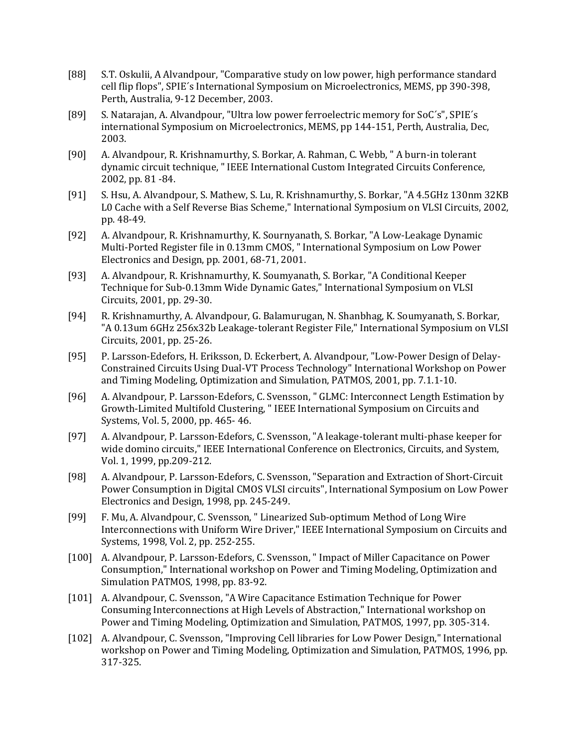- [88] S.T. Oskulii, A Alvandpour, "Comparative study on low power, high performance standard cell flip flops", SPIE´s International Symposium on Microelectronics, MEMS, pp 390-398, Perth, Australia, 9-12 December, 2003.
- [89] S. Natarajan, A. Alvandpour, "Ultra low power ferroelectric memory for SoC´s", SPIE´s international Symposium on Microelectronics, MEMS, pp 144-151, Perth, Australia, Dec, 2003.
- [90] A. Alvandpour, R. Krishnamurthy, S. Borkar, A. Rahman, C. Webb, " A burn-in tolerant dynamic circuit technique, " IEEE International Custom Integrated Circuits Conference, 2002, pp. 81 -84.
- [91] S. Hsu, A. Alvandpour, S. Mathew, S. Lu, R. Krishnamurthy, S. Borkar, "A 4.5GHz 130nm 32KB L0 Cache with a Self Reverse Bias Scheme," International Symposium on VLSI Circuits, 2002, pp. 48-49.
- [92] A. Alvandpour, R. Krishnamurthy, K. Sournyanath, S. Borkar, "A Low-Leakage Dynamic Multi-Ported Register file in 0.13mm CMOS, " International Symposium on Low Power Electronics and Design, pp. 2001, 68-71, 2001.
- [93] A. Alvandpour, R. Krishnamurthy, K. Soumyanath, S. Borkar, "A Conditional Keeper Technique for Sub-0.13mm Wide Dynamic Gates," International Symposium on VLSI Circuits, 2001, pp. 29-30.
- [94] R. Krishnamurthy, A. Alvandpour, G. Balamurugan, N. Shanbhag, K. Soumyanath, S. Borkar, "A 0.13um 6GHz 256x32b Leakage-tolerant Register File," International Symposium on VLSI Circuits, 2001, pp. 25-26.
- [95] P. Larsson-Edefors, H. Eriksson, D. Eckerbert, A. Alvandpour, "Low-Power Design of Delay-Constrained Circuits Using Dual-VT Process Technology" International Workshop on Power and Timing Modeling, Optimization and Simulation, PATMOS, 2001, pp. 7.1.1-10.
- [96] A. Alvandpour, P. Larsson-Edefors, C. Svensson, " GLMC: Interconnect Length Estimation by Growth-Limited Multifold Clustering, " IEEE International Symposium on Circuits and Systems, Vol. 5, 2000, pp. 465- 46.
- [97] A. Alvandpour, P. Larsson-Edefors, C. Svensson, "A leakage-tolerant multi-phase keeper for wide domino circuits," IEEE International Conference on Electronics, Circuits, and System, Vol. 1, 1999, pp.209-212.
- [98] A. Alvandpour, P. Larsson-Edefors, C. Svensson, "Separation and Extraction of Short-Circuit Power Consumption in Digital CMOS VLSI circuits", International Symposium on Low Power Electronics and Design, 1998, pp. 245-249.
- [99] F. Mu, A. Alvandpour, C. Svensson, " Linearized Sub-optimum Method of Long Wire Interconnections with Uniform Wire Driver," IEEE International Symposium on Circuits and Systems, 1998, Vol. 2, pp. 252-255.
- [100] A. Alvandpour, P. Larsson-Edefors, C. Svensson, " Impact of Miller Capacitance on Power Consumption," International workshop on Power and Timing Modeling, Optimization and Simulation PATMOS, 1998, pp. 83-92.
- [101] A. Alvandpour, C. Svensson, "A Wire Capacitance Estimation Technique for Power Consuming Interconnections at High Levels of Abstraction," International workshop on Power and Timing Modeling, Optimization and Simulation, PATMOS, 1997, pp. 305-314.
- [102] A. Alvandpour, C. Svensson, "Improving Cell libraries for Low Power Design," International workshop on Power and Timing Modeling, Optimization and Simulation, PATMOS, 1996, pp. 317-325.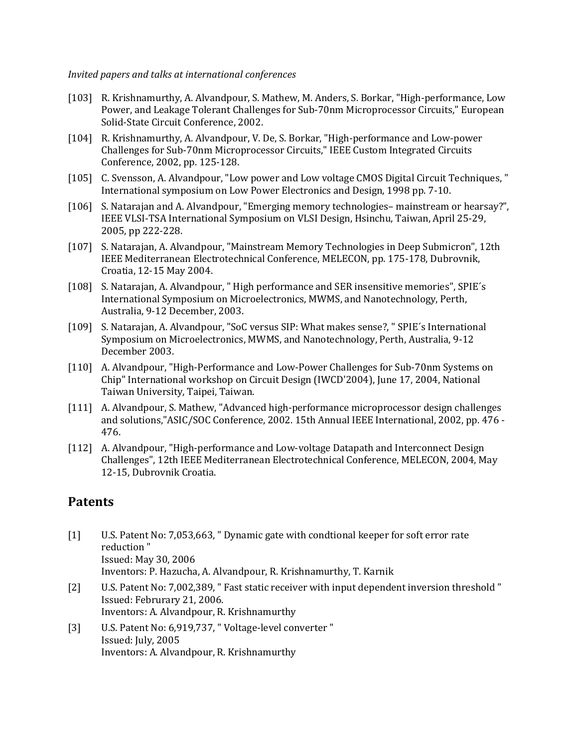*Invited papers and talks at international conferences*

- [103] R. Krishnamurthy, A. Alvandpour, S. Mathew, M. Anders, S. Borkar, "High-performance, Low Power, and Leakage Tolerant Challenges for Sub-70nm Microprocessor Circuits," European Solid-State Circuit Conference, 2002.
- [104] R. Krishnamurthy, A. Alvandpour, V. De, S. Borkar, "High-performance and Low-power Challenges for Sub-70nm Microprocessor Circuits," IEEE Custom Integrated Circuits Conference, 2002, pp. 125-128.
- [105] C. Svensson, A. Alvandpour, "Low power and Low voltage CMOS Digital Circuit Techniques, " International symposium on Low Power Electronics and Design, 1998 pp. 7-10.
- [106] S. Natarajan and A. Alvandpour, "Emerging memory technologies– mainstream or hearsay?", IEEE VLSI-TSA International Symposium on VLSI Design, Hsinchu, Taiwan, April 25-29, 2005, pp 222-228.
- [107] S. Natarajan, A. Alvandpour, "Mainstream Memory Technologies in Deep Submicron", 12th IEEE Mediterranean Electrotechnical Conference, MELECON, pp. 175-178, Dubrovnik, Croatia, 12-15 May 2004.
- [108] S. Natarajan, A. Alvandpour, " High performance and SER insensitive memories", SPIE´s International Symposium on Microelectronics, MWMS, and Nanotechnology, Perth, Australia, 9-12 December, 2003.
- [109] S. Natarajan, A. Alvandpour, "SoC versus SIP: What makes sense?, " SPIE´s International Symposium on Microelectronics, MWMS, and Nanotechnology, Perth, Australia, 9-12 December 2003.
- [110] A. Alvandpour, "High-Performance and Low-Power Challenges for Sub-70nm Systems on Chip" International workshop on Circuit Design (IWCD'2004), June 17, 2004, National Taiwan University, Taipei, Taiwan.
- [111] A. Alvandpour, S. Mathew, "Advanced high-performance microprocessor design challenges and solutions,"ASIC/SOC Conference, 2002. 15th Annual IEEE International, 2002, pp. 476 - 476.
- [112] A. Alvandpour, "High-performance and Low-voltage Datapath and Interconnect Design Challenges", 12th IEEE Mediterranean Electrotechnical Conference, MELECON, 2004, May 12-15, Dubrovnik Croatia.

## **Patents**

- [1] U.S. Patent No: 7,053,663, " Dynamic gate with condtional keeper for soft error rate reduction " Issued: May 30, 2006 Inventors: P. Hazucha, A. Alvandpour, R. Krishnamurthy, T. Karnik
- [2] U.S. Patent No: 7,002,389, " Fast static receiver with input dependent inversion threshold " Issued: Februrary 21, 2006. Inventors: A. Alvandpour, R. Krishnamurthy
- [3] U.S. Patent No: 6,919,737, " Voltage-level converter " Issued: July, 2005 Inventors: A. Alvandpour, R. Krishnamurthy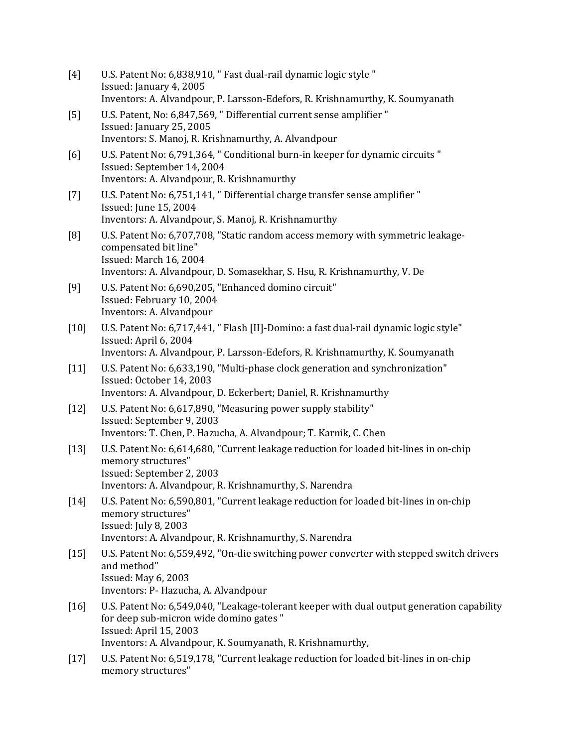| $[4]$  | U.S. Patent No: 6,838,910, " Fast dual-rail dynamic logic style "<br>Issued: January 4, 2005<br>Inventors: A. Alvandpour, P. Larsson-Edefors, R. Krishnamurthy, K. Soumyanath                                                 |
|--------|-------------------------------------------------------------------------------------------------------------------------------------------------------------------------------------------------------------------------------|
| [5]    | U.S. Patent, No: 6,847,569, " Differential current sense amplifier "<br>Issued: January 25, 2005<br>Inventors: S. Manoj, R. Krishnamurthy, A. Alvandpour                                                                      |
| [6]    | U.S. Patent No: 6,791,364, " Conditional burn-in keeper for dynamic circuits "<br>Issued: September 14, 2004<br>Inventors: A. Alvandpour, R. Krishnamurthy                                                                    |
| $[7]$  | U.S. Patent No: 6,751,141, " Differential charge transfer sense amplifier "<br>Issued: June 15, 2004<br>Inventors: A. Alvandpour, S. Manoj, R. Krishnamurthy                                                                  |
| [8]    | U.S. Patent No: 6,707,708, "Static random access memory with symmetric leakage-<br>compensated bit line"<br>Issued: March 16, 2004<br>Inventors: A. Alvandpour, D. Somasekhar, S. Hsu, R. Krishnamurthy, V. De                |
| [9]    | U.S. Patent No: 6,690,205, "Enhanced domino circuit"<br>Issued: February 10, 2004<br>Inventors: A. Alvandpour                                                                                                                 |
| $[10]$ | U.S. Patent No: 6,717,441, " Flash [II]-Domino: a fast dual-rail dynamic logic style"<br>Issued: April 6, 2004<br>Inventors: A. Alvandpour, P. Larsson-Edefors, R. Krishnamurthy, K. Soumyanath                               |
| $[11]$ | U.S. Patent No: 6,633,190, "Multi-phase clock generation and synchronization"<br>Issued: October 14, 2003<br>Inventors: A. Alvandpour, D. Eckerbert; Daniel, R. Krishnamurthy                                                 |
| $[12]$ | U.S. Patent No: 6,617,890, "Measuring power supply stability"<br>Issued: September 9, 2003<br>Inventors: T. Chen, P. Hazucha, A. Alvandpour; T. Karnik, C. Chen                                                               |
| $[13]$ | U.S. Patent No: 6,614,680, "Current leakage reduction for loaded bit-lines in on-chip<br>memory structures"<br>Issued: September 2, 2003<br>Inventors: A. Alvandpour, R. Krishnamurthy, S. Narendra                           |
| $[14]$ | U.S. Patent No: 6,590,801, "Current leakage reduction for loaded bit-lines in on-chip<br>memory structures"<br>Issued: July 8, 2003<br>Inventors: A. Alvandpour, R. Krishnamurthy, S. Narendra                                |
| $[15]$ | U.S. Patent No: 6,559,492, "On-die switching power converter with stepped switch drivers<br>and method"<br><b>Issued: May 6, 2003</b><br>Inventors: P- Hazucha, A. Alvandpour                                                 |
| [16]   | U.S. Patent No: 6,549,040, "Leakage-tolerant keeper with dual output generation capability<br>for deep sub-micron wide domino gates "<br>Issued: April 15, 2003<br>Inventors: A. Alvandpour, K. Soumyanath, R. Krishnamurthy, |
| $[17]$ | U.S. Patent No: 6,519,178, "Current leakage reduction for loaded bit-lines in on-chip<br>memory structures"                                                                                                                   |